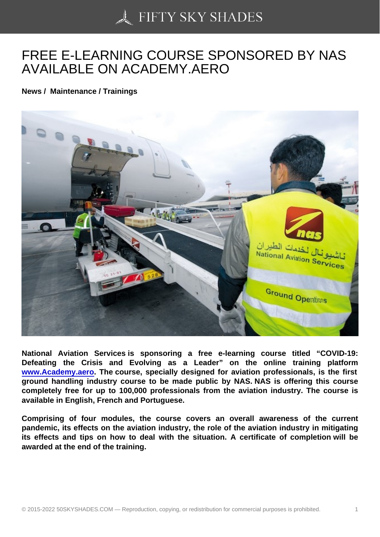## [FREE E-LEARNING C](https://50skyshades.com)OURSE SPONSORED BY NAS AVAILABLE ON ACADEMY.AERO

News / Maintenance / Trainings

National Aviation Services is sponsoring a free e-learning course titled "COVID-19: Defeating the Crisis and Evolving as a Leader" on the online training platform www.Academy.aero . The course, specially designed for aviation professionals, is the first ground handling industry course to be made public by NAS. NAS is offering this course completely free for up to 100,000 professionals from the aviation industry. The course is [available in English, F](http://www.academy.aero/)rench and Portuguese.

Comprising of four modules, the course covers an overall awareness of the current pandemic, its effects on the aviation industry, the role of the aviation industry in mitigating its effects and tips on how to deal with the situation. A certificate of completion will be awarded at the end of the training.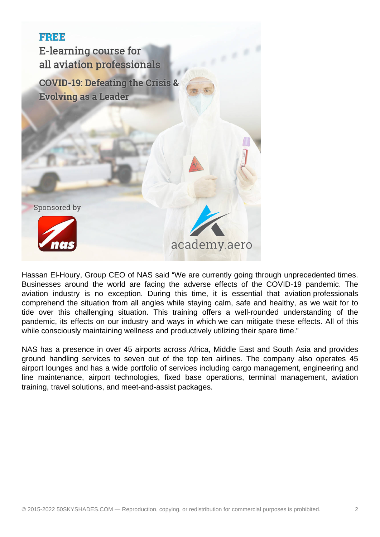

Hassan El-Houry, Group CEO of NAS said "We are currently going through unprecedented times. Businesses around the world are facing the adverse effects of the COVID-19 pandemic. The aviation industry is no exception. During this time, it is essential that aviation professionals comprehend the situation from all angles while staying calm, safe and healthy, as we wait for to tide over this challenging situation. This training offers a well-rounded understanding of the pandemic, its effects on our industry and ways in which we can mitigate these effects. All of this while consciously maintaining wellness and productively utilizing their spare time."

NAS has a presence in over 45 airports across Africa, Middle East and South Asia and provides ground handling services to seven out of the top ten airlines. The company also operates 45 airport lounges and has a wide portfolio of services including cargo management, engineering and line maintenance, airport technologies, fixed base operations, terminal management, aviation training, travel solutions, and meet-and-assist packages.